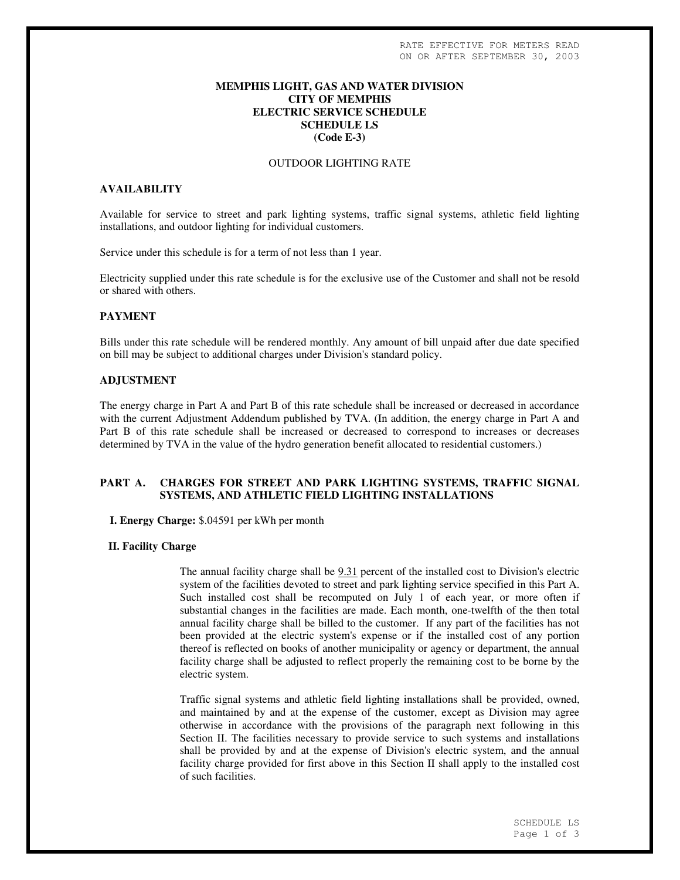## **MEMPHIS LIGHT, GAS AND WATER DIVISION CITY OF MEMPHIS ELECTRIC SERVICE SCHEDULE SCHEDULE LS (Code E-3)**

#### OUTDOOR LIGHTING RATE

## **AVAILABILITY**

Available for service to street and park lighting systems, traffic signal systems, athletic field lighting installations, and outdoor lighting for individual customers.

Service under this schedule is for a term of not less than 1 year.

Electricity supplied under this rate schedule is for the exclusive use of the Customer and shall not be resold or shared with others.

#### **PAYMENT**

Bills under this rate schedule will be rendered monthly. Any amount of bill unpaid after due date specified on bill may be subject to additional charges under Division's standard policy.

### **ADJUSTMENT**

The energy charge in Part A and Part B of this rate schedule shall be increased or decreased in accordance with the current Adjustment Addendum published by TVA. (In addition, the energy charge in Part A and Part B of this rate schedule shall be increased or decreased to correspond to increases or decreases determined by TVA in the value of the hydro generation benefit allocated to residential customers.)

# **PART A. CHARGES FOR STREET AND PARK LIGHTING SYSTEMS, TRAFFIC SIGNAL SYSTEMS, AND ATHLETIC FIELD LIGHTING INSTALLATIONS**

**I. Energy Charge:** \$.04591 per kWh per month

#### **II. Facility Charge**

The annual facility charge shall be 9.31 percent of the installed cost to Division's electric system of the facilities devoted to street and park lighting service specified in this Part A. Such installed cost shall be recomputed on July 1 of each year, or more often if substantial changes in the facilities are made. Each month, one-twelfth of the then total annual facility charge shall be billed to the customer. If any part of the facilities has not been provided at the electric system's expense or if the installed cost of any portion thereof is reflected on books of another municipality or agency or department, the annual facility charge shall be adjusted to reflect properly the remaining cost to be borne by the electric system.

Traffic signal systems and athletic field lighting installations shall be provided, owned, and maintained by and at the expense of the customer, except as Division may agree otherwise in accordance with the provisions of the paragraph next following in this Section II. The facilities necessary to provide service to such systems and installations shall be provided by and at the expense of Division's electric system, and the annual facility charge provided for first above in this Section II shall apply to the installed cost of such facilities.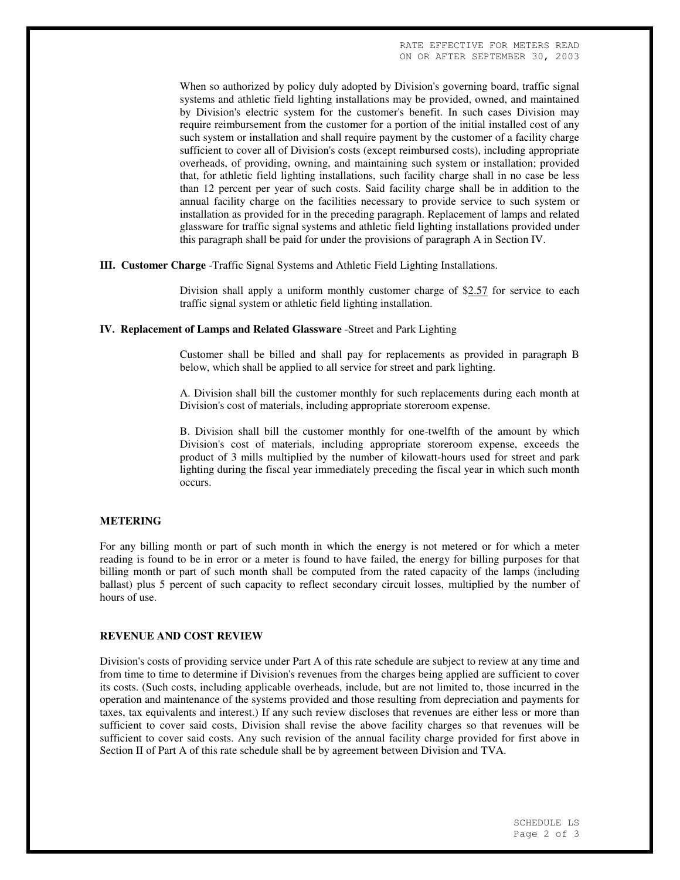When so authorized by policy duly adopted by Division's governing board, traffic signal systems and athletic field lighting installations may be provided, owned, and maintained by Division's electric system for the customer's benefit. In such cases Division may require reimbursement from the customer for a portion of the initial installed cost of any such system or installation and shall require payment by the customer of a facility charge sufficient to cover all of Division's costs (except reimbursed costs), including appropriate overheads, of providing, owning, and maintaining such system or installation; provided that, for athletic field lighting installations, such facility charge shall in no case be less than 12 percent per year of such costs. Said facility charge shall be in addition to the annual facility charge on the facilities necessary to provide service to such system or installation as provided for in the preceding paragraph. Replacement of lamps and related glassware for traffic signal systems and athletic field lighting installations provided under this paragraph shall be paid for under the provisions of paragraph A in Section IV.

#### **III. Customer Charge** -Traffic Signal Systems and Athletic Field Lighting Installations.

Division shall apply a uniform monthly customer charge of \$2.57 for service to each traffic signal system or athletic field lighting installation.

## **IV. Replacement of Lamps and Related Glassware** -Street and Park Lighting

Customer shall be billed and shall pay for replacements as provided in paragraph B below, which shall be applied to all service for street and park lighting.

A. Division shall bill the customer monthly for such replacements during each month at Division's cost of materials, including appropriate storeroom expense.

B. Division shall bill the customer monthly for one-twelfth of the amount by which Division's cost of materials, including appropriate storeroom expense, exceeds the product of 3 mills multiplied by the number of kilowatt-hours used for street and park lighting during the fiscal year immediately preceding the fiscal year in which such month occurs.

#### **METERING**

For any billing month or part of such month in which the energy is not metered or for which a meter reading is found to be in error or a meter is found to have failed, the energy for billing purposes for that billing month or part of such month shall be computed from the rated capacity of the lamps (including ballast) plus 5 percent of such capacity to reflect secondary circuit losses, multiplied by the number of hours of use.

#### **REVENUE AND COST REVIEW**

Division's costs of providing service under Part A of this rate schedule are subject to review at any time and from time to time to determine if Division's revenues from the charges being applied are sufficient to cover its costs. (Such costs, including applicable overheads, include, but are not limited to, those incurred in the operation and maintenance of the systems provided and those resulting from depreciation and payments for taxes, tax equivalents and interest.) If any such review discloses that revenues are either less or more than sufficient to cover said costs, Division shall revise the above facility charges so that revenues will be sufficient to cover said costs. Any such revision of the annual facility charge provided for first above in Section II of Part A of this rate schedule shall be by agreement between Division and TVA.